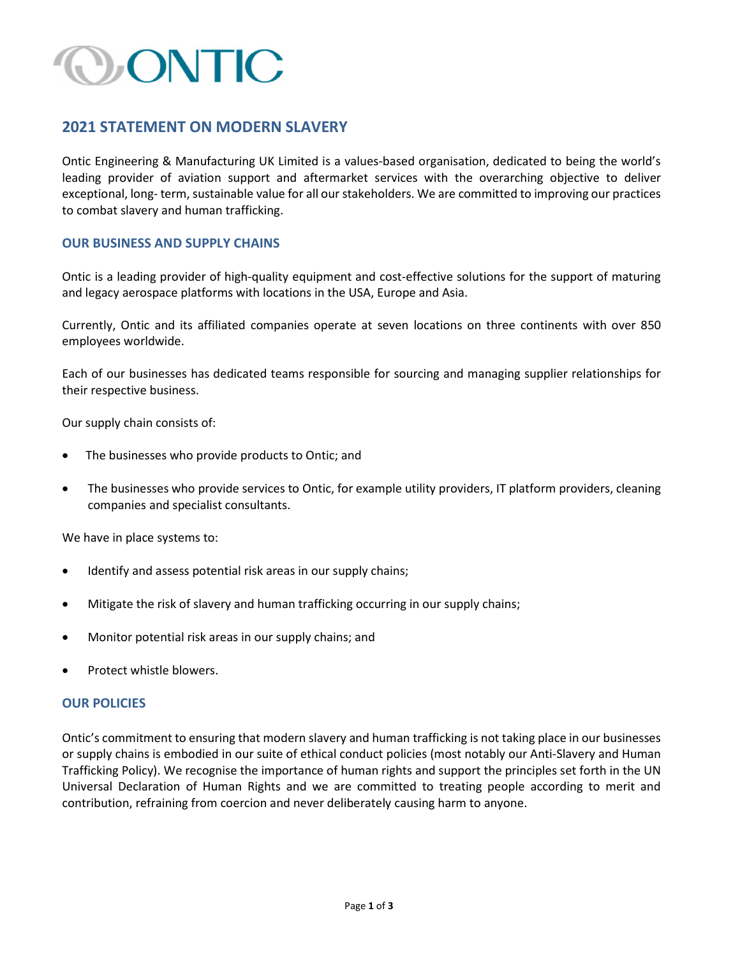## CONTIC

### 2021 STATEMENT ON MODERN SLAVERY

Ontic Engineering & Manufacturing UK Limited is a values-based organisation, dedicated to being the world's leading provider of aviation support and aftermarket services with the overarching objective to deliver exceptional, long- term, sustainable value for all our stakeholders. We are committed to improving our practices to combat slavery and human trafficking.

### OUR BUSINESS AND SUPPLY CHAINS

Ontic is a leading provider of high-quality equipment and cost-effective solutions for the support of maturing and legacy aerospace platforms with locations in the USA, Europe and Asia.

Currently, Ontic and its affiliated companies operate at seven locations on three continents with over 850 employees worldwide.

Each of our businesses has dedicated teams responsible for sourcing and managing supplier relationships for their respective business.

Our supply chain consists of:

- The businesses who provide products to Ontic; and
- The businesses who provide services to Ontic, for example utility providers, IT platform providers, cleaning companies and specialist consultants.

We have in place systems to:

- Identify and assess potential risk areas in our supply chains;
- Mitigate the risk of slavery and human trafficking occurring in our supply chains;
- Monitor potential risk areas in our supply chains; and
- Protect whistle blowers.

### **OUR POLICIES**

Ontic's commitment to ensuring that modern slavery and human trafficking is not taking place in our businesses or supply chains is embodied in our suite of ethical conduct policies (most notably our Anti-Slavery and Human Trafficking Policy). We recognise the importance of human rights and support the principles set forth in the UN Universal Declaration of Human Rights and we are committed to treating people according to merit and contribution, refraining from coercion and never deliberately causing harm to anyone.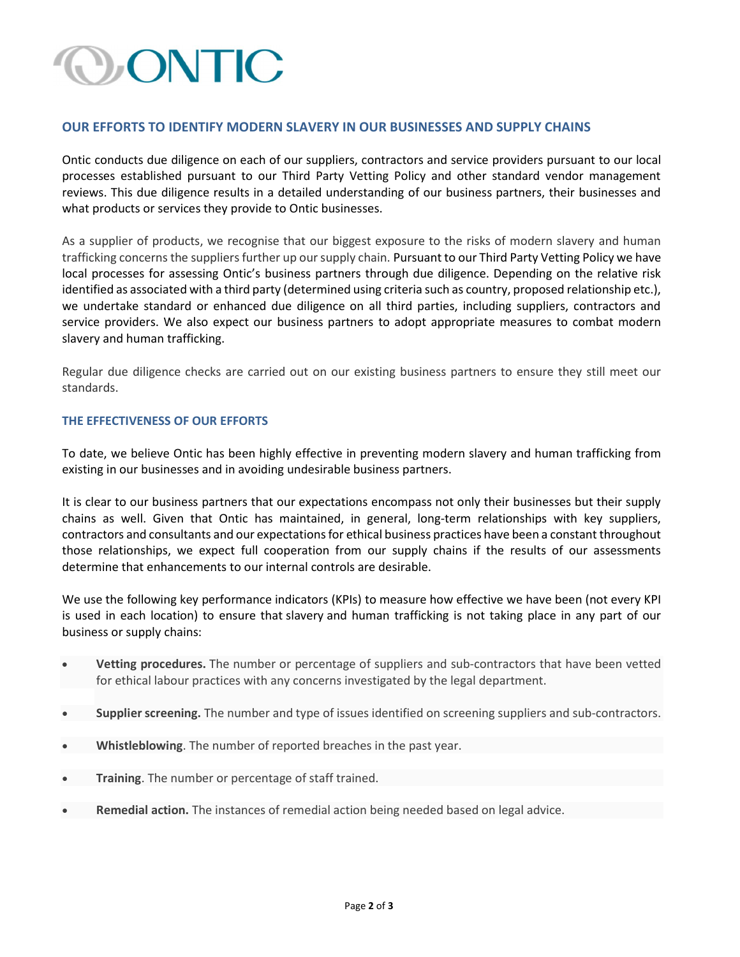# CONTIC

### OUR EFFORTS TO IDENTIFY MODERN SLAVERY IN OUR BUSINESSES AND SUPPLY CHAINS

Ontic conducts due diligence on each of our suppliers, contractors and service providers pursuant to our local processes established pursuant to our Third Party Vetting Policy and other standard vendor management reviews. This due diligence results in a detailed understanding of our business partners, their businesses and what products or services they provide to Ontic businesses.

As a supplier of products, we recognise that our biggest exposure to the risks of modern slavery and human trafficking concerns the suppliers further up our supply chain. Pursuant to our Third Party Vetting Policy we have local processes for assessing Ontic's business partners through due diligence. Depending on the relative risk identified as associated with a third party (determined using criteria such as country, proposed relationship etc.), we undertake standard or enhanced due diligence on all third parties, including suppliers, contractors and service providers. We also expect our business partners to adopt appropriate measures to combat modern slavery and human trafficking.

Regular due diligence checks are carried out on our existing business partners to ensure they still meet our standards.

#### THE EFFECTIVENESS OF OUR EFFORTS

To date, we believe Ontic has been highly effective in preventing modern slavery and human trafficking from existing in our businesses and in avoiding undesirable business partners.

It is clear to our business partners that our expectations encompass not only their businesses but their supply chains as well. Given that Ontic has maintained, in general, long-term relationships with key suppliers, contractors and consultants and our expectations for ethical business practices have been a constant throughout those relationships, we expect full cooperation from our supply chains if the results of our assessments determine that enhancements to our internal controls are desirable.

We use the following key performance indicators (KPIs) to measure how effective we have been (not every KPI is used in each location) to ensure that slavery and human trafficking is not taking place in any part of our business or supply chains:

- Vetting procedures. The number or percentage of suppliers and sub-contractors that have been vetted for ethical labour practices with any concerns investigated by the legal department.
- Supplier screening. The number and type of issues identified on screening suppliers and sub-contractors.
- Whistleblowing. The number of reported breaches in the past year.
- Training. The number or percentage of staff trained.
- Remedial action. The instances of remedial action being needed based on legal advice.